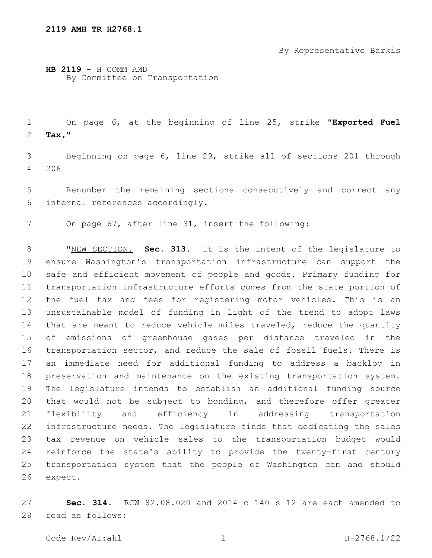By Representative Barkis

**HB 2119** - H COMM AMD By Committee on Transportation

 On page 6, at the beginning of line 25, strike "**Exported Fuel Tax,**"2

 Beginning on page 6, line 29, strike all of sections 201 through 4 206

 Renumber the remaining sections consecutively and correct any internal references accordingly.6

On page 67, after line 31, insert the following:

 "NEW SECTION. **Sec. 313.** It is the intent of the legislature to ensure Washington's transportation infrastructure can support the safe and efficient movement of people and goods. Primary funding for transportation infrastructure efforts comes from the state portion of the fuel tax and fees for registering motor vehicles. This is an unsustainable model of funding in light of the trend to adopt laws that are meant to reduce vehicle miles traveled, reduce the quantity of emissions of greenhouse gases per distance traveled in the transportation sector, and reduce the sale of fossil fuels. There is an immediate need for additional funding to address a backlog in preservation and maintenance on the existing transportation system. The legislature intends to establish an additional funding source that would not be subject to bonding, and therefore offer greater flexibility and efficiency in addressing transportation infrastructure needs. The legislature finds that dedicating the sales tax revenue on vehicle sales to the transportation budget would reinforce the state's ability to provide the twenty-first century transportation system that the people of Washington can and should expect.

 **Sec. 314.** RCW 82.08.020 and 2014 c 140 s 12 are each amended to read as follows:28

Code Rev/AI:akl 1 H-2768.1/22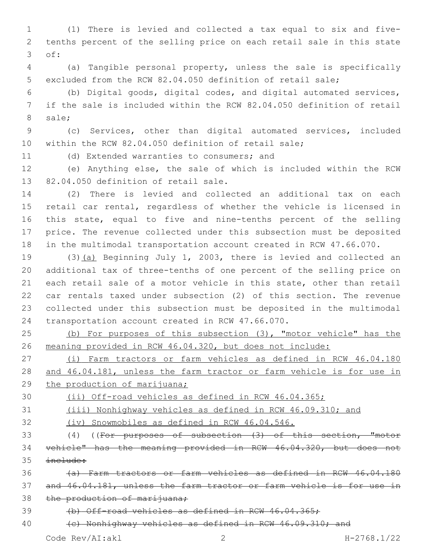(1) There is levied and collected a tax equal to six and five- tenths percent of the selling price on each retail sale in this state of:3

 (a) Tangible personal property, unless the sale is specifically excluded from the RCW 82.04.050 definition of retail sale;

 (b) Digital goods, digital codes, and digital automated services, if the sale is included within the RCW 82.04.050 definition of retail 8 sale;

 (c) Services, other than digital automated services, included within the RCW 82.04.050 definition of retail sale;

11 (d) Extended warranties to consumers; and

 (e) Anything else, the sale of which is included within the RCW 13 82.04.050 definition of retail sale.

 (2) There is levied and collected an additional tax on each retail car rental, regardless of whether the vehicle is licensed in this state, equal to five and nine-tenths percent of the selling price. The revenue collected under this subsection must be deposited in the multimodal transportation account created in RCW 47.66.070.

 (3)(a) Beginning July 1, 2003, there is levied and collected an additional tax of three-tenths of one percent of the selling price on each retail sale of a motor vehicle in this state, other than retail car rentals taxed under subsection (2) of this section. The revenue collected under this subsection must be deposited in the multimodal 24 transportation account created in RCW 47.66.070.

 (b) For purposes of this subsection (3), "motor vehicle" has the meaning provided in RCW 46.04.320, but does not include:

 (i) Farm tractors or farm vehicles as defined in RCW 46.04.180 and 46.04.181, unless the farm tractor or farm vehicle is for use in 29 the production of marijuana;

(ii) Off-road vehicles as defined in RCW 46.04.365;

(iii) Nonhighway vehicles as defined in RCW 46.09.310; and

(iv) Snowmobiles as defined in RCW 46.04.546.

 (4) ((For purposes of subsection (3) of this section, "motor vehicle" has the meaning provided in RCW 46.04.320, but does not include:

 (a) Farm tractors or farm vehicles as defined in RCW 46.04.180 and 46.04.181, unless the farm tractor or farm vehicle is for use in 38 the production of marijuana;

(b) Off-road vehicles as defined in RCW 46.04.365;

40 (c) Nonhighway vehicles as defined in RCW 46.09.310; and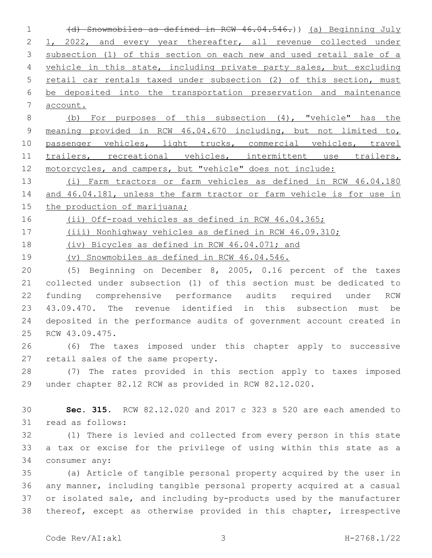(d) Snowmobiles as defined in RCW 46.04.546.)) (a) Beginning July 1, 2022, and every year thereafter, all revenue collected under 3 subsection (1) of this section on each new and used retail sale of a vehicle in this state, including private party sales, but excluding retail car rentals taxed under subsection (2) of this section, must be deposited into the transportation preservation and maintenance account.

 (b) For purposes of this subsection (4), "vehicle" has the meaning provided in RCW 46.04.670 including, but not limited to, 10 passenger vehicles, light trucks, commercial vehicles, travel 11 trailers, recreational vehicles, intermittent use trailers, 12 motorcycles, and campers, but "vehicle" does not include:

 (i) Farm tractors or farm vehicles as defined in RCW 46.04.180 and 46.04.181, unless the farm tractor or farm vehicle is for use in 15 the production of marijuana;

16 (ii) Off-road vehicles as defined in RCW 46.04.365;

(iii) Nonhighway vehicles as defined in RCW 46.09.310;

(iv) Bicycles as defined in RCW 46.04.071; and

(v) Snowmobiles as defined in RCW 46.04.546.

 (5) Beginning on December 8, 2005, 0.16 percent of the taxes collected under subsection (1) of this section must be dedicated to funding comprehensive performance audits required under RCW 43.09.470. The revenue identified in this subsection must be deposited in the performance audits of government account created in 25 RCW 43.09.475.

 (6) The taxes imposed under this chapter apply to successive 27 retail sales of the same property.

 (7) The rates provided in this section apply to taxes imposed under chapter 82.12 RCW as provided in RCW 82.12.020.

 **Sec. 315.** RCW 82.12.020 and 2017 c 323 s 520 are each amended to 31 read as follows:

 (1) There is levied and collected from every person in this state a tax or excise for the privilege of using within this state as a 34 consumer any:

 (a) Article of tangible personal property acquired by the user in any manner, including tangible personal property acquired at a casual or isolated sale, and including by-products used by the manufacturer thereof, except as otherwise provided in this chapter, irrespective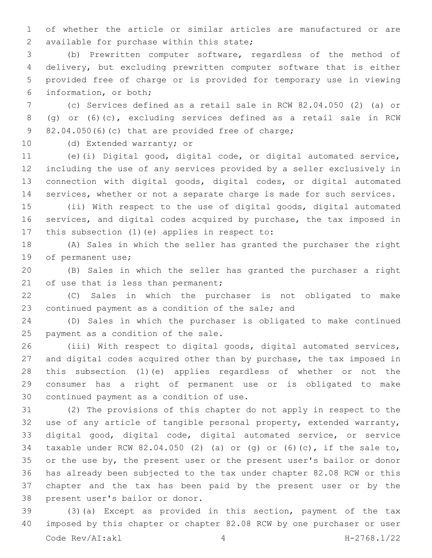of whether the article or similar articles are manufactured or are 2 available for purchase within this state;

 (b) Prewritten computer software, regardless of the method of delivery, but excluding prewritten computer software that is either provided free of charge or is provided for temporary use in viewing information, or both;6

 (c) Services defined as a retail sale in RCW 82.04.050 (2) (a) or (g) or (6)(c), excluding services defined as a retail sale in RCW 82.04.050(6)(c) that are provided free of charge;

10 (d) Extended warranty; or

 (e)(i) Digital good, digital code, or digital automated service, including the use of any services provided by a seller exclusively in connection with digital goods, digital codes, or digital automated services, whether or not a separate charge is made for such services.

 (ii) With respect to the use of digital goods, digital automated services, and digital codes acquired by purchase, the tax imposed in 17 this subsection  $(1)$  (e) applies in respect to:

 (A) Sales in which the seller has granted the purchaser the right 19 of permanent use;

 (B) Sales in which the seller has granted the purchaser a right 21 of use that is less than permanent;

 (C) Sales in which the purchaser is not obligated to make 23 continued payment as a condition of the sale; and

 (D) Sales in which the purchaser is obligated to make continued 25 payment as a condition of the sale.

 (iii) With respect to digital goods, digital automated services, and digital codes acquired other than by purchase, the tax imposed in this subsection (1)(e) applies regardless of whether or not the consumer has a right of permanent use or is obligated to make 30 continued payment as a condition of use.

 (2) The provisions of this chapter do not apply in respect to the use of any article of tangible personal property, extended warranty, digital good, digital code, digital automated service, or service taxable under RCW 82.04.050 (2) (a) or (g) or (6)(c), if the sale to, or the use by, the present user or the present user's bailor or donor has already been subjected to the tax under chapter 82.08 RCW or this chapter and the tax has been paid by the present user or by the 38 present user's bailor or donor.

 (3)(a) Except as provided in this section, payment of the tax imposed by this chapter or chapter 82.08 RCW by one purchaser or user Code Rev/AI:akl 4 H-2768.1/22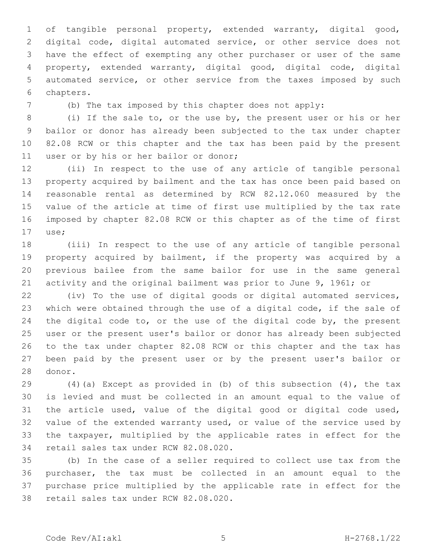of tangible personal property, extended warranty, digital good, digital code, digital automated service, or other service does not have the effect of exempting any other purchaser or user of the same property, extended warranty, digital good, digital code, digital automated service, or other service from the taxes imposed by such 6 chapters.

(b) The tax imposed by this chapter does not apply:

 (i) If the sale to, or the use by, the present user or his or her bailor or donor has already been subjected to the tax under chapter 82.08 RCW or this chapter and the tax has been paid by the present 11 user or by his or her bailor or donor;

 (ii) In respect to the use of any article of tangible personal property acquired by bailment and the tax has once been paid based on reasonable rental as determined by RCW 82.12.060 measured by the value of the article at time of first use multiplied by the tax rate imposed by chapter 82.08 RCW or this chapter as of the time of first use;17

 (iii) In respect to the use of any article of tangible personal property acquired by bailment, if the property was acquired by a previous bailee from the same bailor for use in the same general activity and the original bailment was prior to June 9, 1961; or

 (iv) To the use of digital goods or digital automated services, which were obtained through the use of a digital code, if the sale of 24 the digital code to, or the use of the digital code by, the present user or the present user's bailor or donor has already been subjected to the tax under chapter 82.08 RCW or this chapter and the tax has been paid by the present user or by the present user's bailor or 28 donor.

 (4)(a) Except as provided in (b) of this subsection (4), the tax is levied and must be collected in an amount equal to the value of the article used, value of the digital good or digital code used, value of the extended warranty used, or value of the service used by the taxpayer, multiplied by the applicable rates in effect for the 34 retail sales tax under RCW 82.08.020.

 (b) In the case of a seller required to collect use tax from the purchaser, the tax must be collected in an amount equal to the purchase price multiplied by the applicable rate in effect for the 38 retail sales tax under RCW 82.08.020.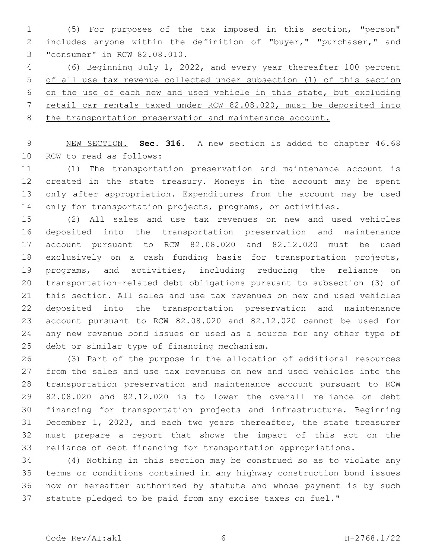(5) For purposes of the tax imposed in this section, "person" includes anyone within the definition of "buyer," "purchaser," and 3 "consumer" in RCW 82.08.010.

 (6) Beginning July 1, 2022, and every year thereafter 100 percent of all use tax revenue collected under subsection (1) of this section on the use of each new and used vehicle in this state, but excluding retail car rentals taxed under RCW 82.08.020, must be deposited into the transportation preservation and maintenance account.

 NEW SECTION. **Sec. 316.** A new section is added to chapter 46.68 10 RCW to read as follows:

 (1) The transportation preservation and maintenance account is created in the state treasury. Moneys in the account may be spent only after appropriation. Expenditures from the account may be used 14 only for transportation projects, programs, or activities.

 (2) All sales and use tax revenues on new and used vehicles deposited into the transportation preservation and maintenance account pursuant to RCW 82.08.020 and 82.12.020 must be used exclusively on a cash funding basis for transportation projects, programs, and activities, including reducing the reliance on transportation-related debt obligations pursuant to subsection (3) of this section. All sales and use tax revenues on new and used vehicles deposited into the transportation preservation and maintenance account pursuant to RCW 82.08.020 and 82.12.020 cannot be used for any new revenue bond issues or used as a source for any other type of 25 debt or similar type of financing mechanism.

 (3) Part of the purpose in the allocation of additional resources from the sales and use tax revenues on new and used vehicles into the transportation preservation and maintenance account pursuant to RCW 82.08.020 and 82.12.020 is to lower the overall reliance on debt financing for transportation projects and infrastructure. Beginning December 1, 2023, and each two years thereafter, the state treasurer must prepare a report that shows the impact of this act on the reliance of debt financing for transportation appropriations.

 (4) Nothing in this section may be construed so as to violate any terms or conditions contained in any highway construction bond issues now or hereafter authorized by statute and whose payment is by such statute pledged to be paid from any excise taxes on fuel."